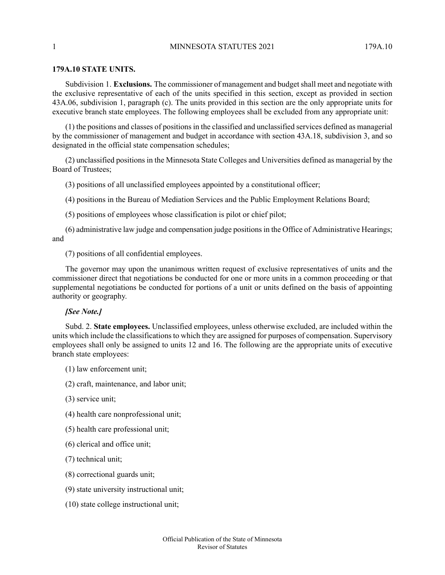## **179A.10 STATE UNITS.**

Subdivision 1. **Exclusions.** The commissioner of management and budgetshall meet and negotiate with the exclusive representative of each of the units specified in this section, except as provided in section 43A.06, subdivision 1, paragraph (c). The units provided in this section are the only appropriate units for executive branch state employees. The following employees shall be excluded from any appropriate unit:

(1) the positions and classes of positions in the classified and unclassified services defined as managerial by the commissioner of management and budget in accordance with section 43A.18, subdivision 3, and so designated in the official state compensation schedules;

(2) unclassified positions in the Minnesota State Colleges and Universities defined as managerial by the Board of Trustees;

(3) positions of all unclassified employees appointed by a constitutional officer;

(4) positions in the Bureau of Mediation Services and the Public Employment Relations Board;

(5) positions of employees whose classification is pilot or chief pilot;

(6) administrative law judge and compensation judge positionsin the Office of Administrative Hearings; and

(7) positions of all confidential employees.

The governor may upon the unanimous written request of exclusive representatives of units and the commissioner direct that negotiations be conducted for one or more units in a common proceeding or that supplemental negotiations be conducted for portions of a unit or units defined on the basis of appointing authority or geography.

## *[See Note.]*

Subd. 2. **State employees.** Unclassified employees, unless otherwise excluded, are included within the units which include the classifications to which they are assigned for purposes of compensation. Supervisory employees shall only be assigned to units 12 and 16. The following are the appropriate units of executive branch state employees:

(1) law enforcement unit;

- (2) craft, maintenance, and labor unit;
- (3) service unit;
- (4) health care nonprofessional unit;
- (5) health care professional unit;
- (6) clerical and office unit;
- (7) technical unit;
- (8) correctional guards unit;
- (9) state university instructional unit;
- (10) state college instructional unit;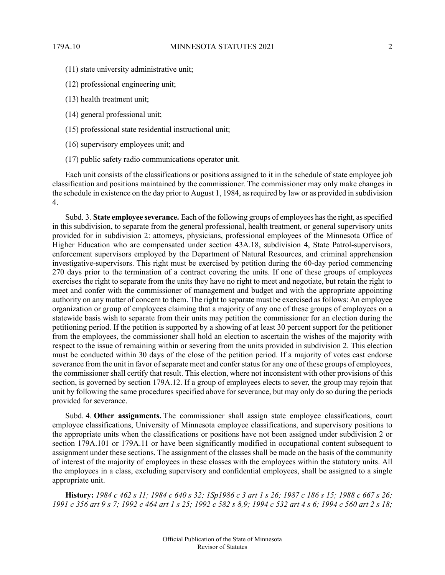- 
- (11) state university administrative unit;
- (12) professional engineering unit;
- (13) health treatment unit;
- (14) general professional unit;
- (15) professional state residential instructional unit;
- (16) supervisory employees unit; and
- (17) public safety radio communications operator unit.

Each unit consists of the classifications or positions assigned to it in the schedule of state employee job classification and positions maintained by the commissioner. The commissioner may only make changes in the schedule in existence on the day prior to August 1, 1984, as required by law or as provided in subdivision 4.

Subd. 3. **State employee severance.** Each of the following groups of employees hasthe right, asspecified in this subdivision, to separate from the general professional, health treatment, or general supervisory units provided for in subdivision 2: attorneys, physicians, professional employees of the Minnesota Office of Higher Education who are compensated under section 43A.18, subdivision 4, State Patrol-supervisors, enforcement supervisors employed by the Department of Natural Resources, and criminal apprehension investigative-supervisors. This right must be exercised by petition during the 60-day period commencing 270 days prior to the termination of a contract covering the units. If one of these groups of employees exercises the right to separate from the units they have no right to meet and negotiate, but retain the right to meet and confer with the commissioner of management and budget and with the appropriate appointing authority on any matter of concern to them. The right to separate must be exercised as follows: An employee organization or group of employees claiming that a majority of any one of these groups of employees on a statewide basis wish to separate from their units may petition the commissioner for an election during the petitioning period. If the petition is supported by a showing of at least 30 percent support for the petitioner from the employees, the commissioner shall hold an election to ascertain the wishes of the majority with respect to the issue of remaining within or severing from the units provided in subdivision 2. This election must be conducted within 30 days of the close of the petition period. If a majority of votes cast endorse severance from the unit in favor of separate meet and confer status for any one of these groups of employees, the commissioner shall certify that result. This election, where not inconsistent with other provisions of this section, is governed by section 179A.12. If a group of employees elects to sever, the group may rejoin that unit by following the same procedures specified above for severance, but may only do so during the periods provided for severance.

Subd. 4. **Other assignments.** The commissioner shall assign state employee classifications, court employee classifications, University of Minnesota employee classifications, and supervisory positions to the appropriate units when the classifications or positions have not been assigned under subdivision 2 or section 179A.101 or 179A.11 or have been significantly modified in occupational content subsequent to assignment under these sections. The assignment of the classes shall be made on the basis of the community of interest of the majority of employees in these classes with the employees within the statutory units. All the employees in a class, excluding supervisory and confidential employees, shall be assigned to a single appropriate unit.

History: 1984 c 462 s 11; 1984 c 640 s 32; 1Sp1986 c 3 art 1 s 26; 1987 c 186 s 15; 1988 c 667 s 26; 1991 c 356 art 9 s 7: 1992 c 464 art 1 s 25: 1992 c 582 s 8.9: 1994 c 532 art 4 s 6: 1994 c 560 art 2 s 18: